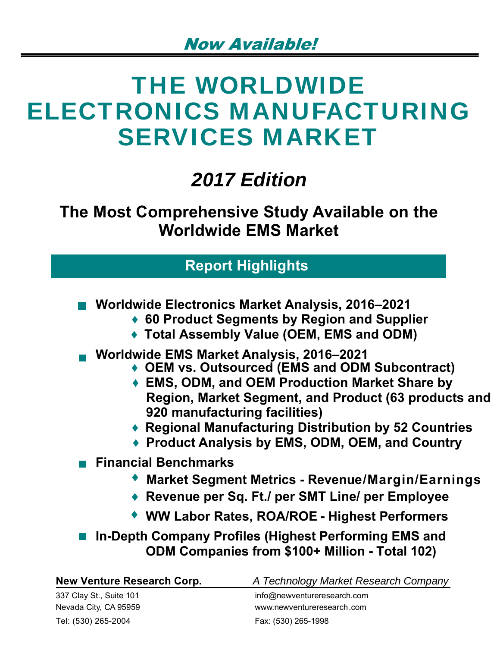# THE WORLDWIDE ELECTRONICS MANUFACTURING SERVICES MARKET

## *2017 Edition*

**The Most Comprehensive Study Available on the Worldwide EMS Market**

## **Report Highlights**

- **Worldwide Electronics Market Analysis, 2016–2021** 
	- **♦ 60 Product Segments by Region and Supplier**
	- **♦ Total Assembly Value (OEM, EMS and ODM)**
- **Worldwide EMS Market Analysis, 2016–2021** 
	- **♦ OEM vs. Outsourced (EMS and ODM Subcontract)**
	- **♦ EMS, ODM, and OEM Production Market Share by Region, Market Segment, and Product (63 products and 920 manufacturing facilities)**
	- **♦ Regional Manufacturing Distribution by 52 Countries**
	- **♦ Product Analysis by EMS, ODM, OEM, and Country**
- **Financial Benchmarks** 
	- **Market Segment Metrics Revenue/Margin/Earnings**
	- **Revenue per Sq. Ft./ per SMT Line/ per Employee**
	- ◆ WW Labor Rates, ROA/ROE Highest Performers
- In-Depth Company Profiles (Highest Performing EMS and **ODM Companies from \$100+ Million - Total 102)**

| New Venture Research Corp. | A Technology Market Research Company |
|----------------------------|--------------------------------------|
| 337 Clay St., Suite 101    | info@newventureresearch.com          |
| Nevada City, CA 95959      | www.newventureresearch.com           |
| Tel: (530) 265-2004        | Fax: (530) 265-1998                  |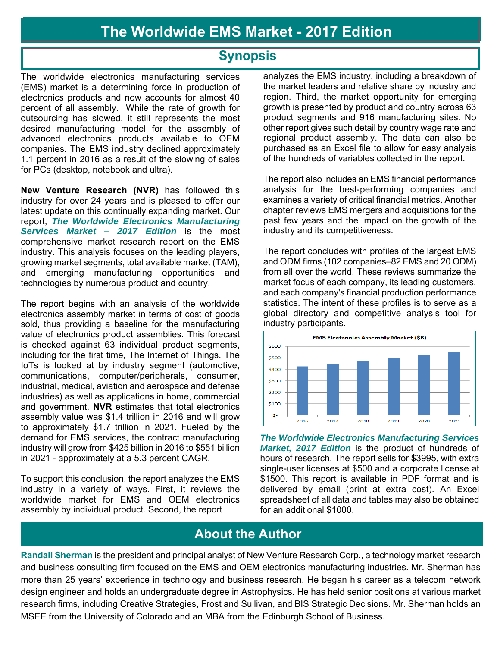## **Synopsis**

The worldwide electronics manufacturing services (EMS) market is a determining force in production of electronics products and now accounts for almost 40 percent of all assembly. While the rate of growth for outsourcing has slowed, it still represents the most desired manufacturing model for the assembly of advanced electronics products available to OEM companies. The EMS industry declined approximately 1.1 percent in 2016 as a result of the slowing of sales for PCs (desktop, notebook and ultra).

**New Venture Research (NVR)** has followed this industry for over 24 years and is pleased to offer our latest update on this continually expanding market. Our report, *The Worldwide Electronics Manufacturing Services Market – 2017 Edition* is the most comprehensive market research report on the EMS industry. This analysis focuses on the leading players, growing market segments, total available market (TAM), and emerging manufacturing opportunities and technologies by numerous product and country.

The report begins with an analysis of the worldwide electronics assembly market in terms of cost of goods sold, thus providing a baseline for the manufacturing value of electronics product assemblies. This forecast is checked against 63 individual product segments, including for the first time, The Internet of Things. The IoTs is looked at by industry segment (automotive, communications, computer/peripherals, consumer, industrial, medical, aviation and aerospace and defense industries) as well as applications in home, commercial and government. **NVR** estimates that total electronics assembly value was \$1.4 trillion in 2016 and will grow to approximately \$1.7 trillion in 2021. Fueled by the demand for EMS services, the contract manufacturing industry will grow from \$425 billion in 2016 to \$551 billion in 2021 - approximately at a 5.3 percent CAGR.

To support this conclusion, the report analyzes the EMS industry in a variety of ways. First, it reviews the worldwide market for EMS and OEM electronics assembly by individual product. Second, the report

analyzes the EMS industry, including a breakdown of the market leaders and relative share by industry and region. Third, the market opportunity for emerging growth is presented by product and country across 63 product segments and 916 manufacturing sites. No other report gives such detail by country wage rate and regional product assembly. The data can also be purchased as an Excel file to allow for easy analysis of the hundreds of variables collected in the report.

The report also includes an EMS financial performance analysis for the best-performing companies and examines a variety of critical financial metrics. Another chapter reviews EMS mergers and acquisitions for the past few years and the impact on the growth of the industry and its competitiveness.

The report concludes with profiles of the largest EMS and ODM firms (102 companies–82 EMS and 20 ODM) from all over the world. These reviews summarize the market focus of each company, its leading customers, and each company's financial production performance statistics. The intent of these profiles is to serve as a global directory and competitive analysis tool for industry participants.



*The Worldwide Electronics Manufacturing Services Market, 2017 Edition* is the product of hundreds of hours of research. The report sells for \$3995, with extra single-user licenses at \$500 and a corporate license at \$1500. This report is available in PDF format and is delivered by email (print at extra cost). An Excel spreadsheet of all data and tables may also be obtained for an additional \$1000.

## **About the Author**

**Randall Sherman** is the president and principal analyst of New Venture Research Corp., a technology market research and business consulting firm focused on the EMS and OEM electronics manufacturing industries. Mr. Sherman has more than 25 years' experience in technology and business research. He began his career as a telecom network design engineer and holds an undergraduate degree in Astrophysics. He has held senior positions at various market research firms, including Creative Strategies, Frost and Sullivan, and BIS Strategic Decisions. Mr. Sherman holds an MSEE from the University of Colorado and an MBA from the Edinburgh School of Business.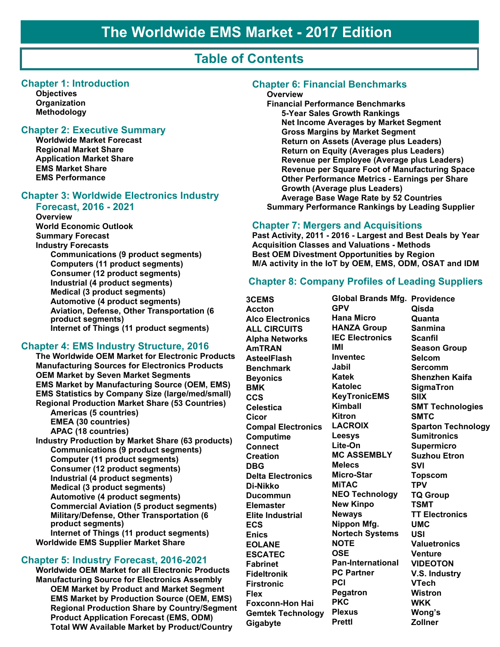## **Table of Contents**

#### **Chapter 1: Introduction**

**Objectives Organization Methodology**

#### **Chapter 2: Executive Summary**

**Worldwide Market Forecast Regional Market Share Application Market Share EMS Market Share EMS Performance**

#### **Chapter 3: Worldwide Electronics Industry Forecast, 2016 - 2021**

**Overview World Economic Outlook Summary Forecast Industry Forecasts Communications (9 product segments) Computers (11 product segments) Consumer (12 product segments) Industrial (4 product segments) Medical (3 product segments) Automotive (4 product segments) Aviation, Defense, Other Transportation (6 product segments) Internet of Things (11 product segments)**

#### **Chapter 4: EMS Industry Structure, 2016**

**The Worldwide OEM Market for Electronic Products Manufacturing Sources for Electronics Products OEM Market by Seven Market Segments EMS Market by Manufacturing Source (OEM, EMS) EMS Statistics by Company Size (large/med/small) Regional Production Market Share (53 Countries) Americas (5 countries) EMEA (30 countries) APAC (18 countries) Industry Production by Market Share (63 products) Communications (9 product segments) Computer (11 product segments) Consumer (12 product segments) Industrial (4 product segments) Medical (3 product segments) Automotive (4 product segments) Commercial Aviation (5 product segments) Military/Defense, Other Transportation (6 product segments) Internet of Things (11 product segments) Worldwide EMS Supplier Market Share**

#### **Chapter 5: Industry Forecast, 2016-2021**

**Worldwide OEM Market for all Electronic Products Manufacturing Source for Electronics Assembly OEM Market by Product and Market Segment EMS Market by Production Source (OEM, EMS) Regional Production Share by Country/Segment Product Application Forecast (EMS, ODM) Total WW Available Market by Product/Country**

#### **Chapter 6: Financial Benchmarks**

#### **Overview**

**Financial Performance Benchmarks 5-Year Sales Growth Rankings Net Income Averages by Market Segment Gross Margins by Market Segment Return on Assets (Average plus Leaders) Return on Equity (Averages plus Leaders) Revenue per Employee (Average plus Leaders) Revenue per Square Foot of Manufacturing Space Other Performance Metrics - Earnings per Share Growth (Average plus Leaders) Average Base Wage Rate by 52 Countries Summary Performance Rankings by Leading Supplier** 

#### **Chapter 7: Mergers and Acquisitions**

**Past Activity, 2011 - 2016 - Largest and Best Deals by Year Acquisition Classes and Valuations - Methods Best OEM Divestment Opportunities by Region M/A activity in the IoT by OEM, EMS, ODM, OSAT and IDM**

#### **Chapter 8: Company Profiles of Leading Suppliers**

**3CEMS Accton Alco Electronics ALL CIRCUITS Alpha Networks AmTRAN AsteelFlash Benchmark Beyonics BMK CCS Celestica Cicor Compal Electronics Computime Connect Creation DBG Delta Electronics Di-Nikko Ducommun Elemaster Elite Industrial ECS Enics EOLANE ESCATEC Fabrinet Fideltronik Firstronic Flex Foxconn-Hon Hai Gemtek Technology Gigabyte**

**Global Brands Mfg. Providence GPV Hana Micro HANZA Group IEC Electronics IMI Inventec Jabil Katek Katolec KeyTronicEMS Kimball Kitron LACROIX Leesys Lite-On MC ASSEMBLY Melecs Micro-Star MiTAC NEO Technology New Kinpo Neways Nippon Mfg. Nortech Systems NOTE OSE Pan-International PC Partner PCI Pegatron PKC Plexus Prettl**

**Qisda Quanta Sanmina Scanfil Season Group Selcom Sercomm Shenzhen Kaifa SigmaTron SIIX SMT Technologies SMTC Sparton Technology Sumitronics Supermicro Suzhou Etron SVI Topscom TPV TQ Group TSMT TT Electronics UMC USI Valuetronics Venture VIDEOTON V.S. Industry VTech Wistron WKK Wong's Zollner**